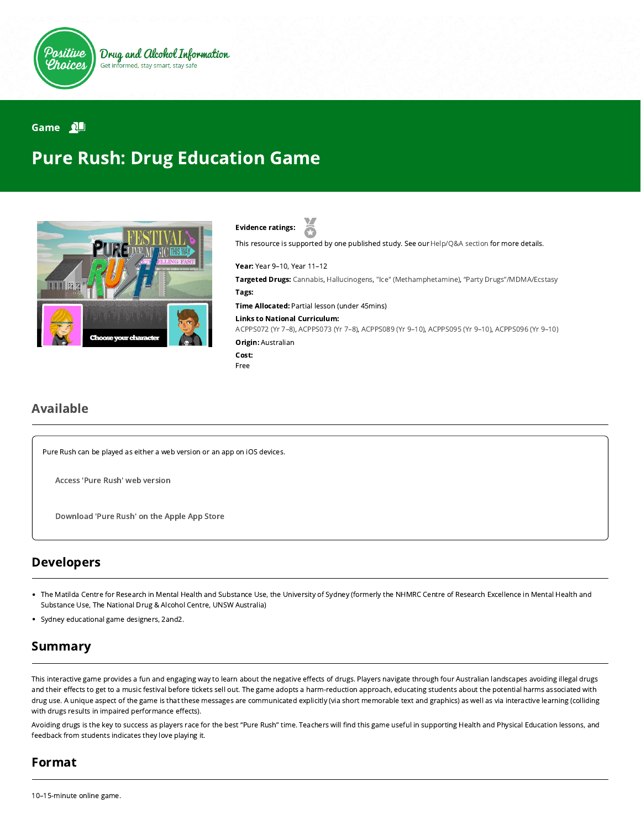

#### Game 2

# Pure Rush: Drug Education Game



Evidence ratings:

This resource is supported by one published study. See our [Help/Q&A section](https://positivechoices.org.au/help/questions-and-answers/) for more details.

Year: Year 9–10, Year 11–12

Targeted Drugs: Cannabis, Hallucinogens, "Ice" (Methamphetamine), "Party Drugs"/MDMA/Ecstasy Tags:

Time Allocated: Partial lesson (under 45mins)

Links to National Curriculum:

[ACPPS072 \(Yr 7–8\),](http://www.australiancurriculum.edu.au/Curriculum/ContentDescription/ACPPS072) [ACPPS073 \(Yr 7–8\)](http://www.australiancurriculum.edu.au/Curriculum/ContentDescription/ACPPS073), [ACPPS089 \(Yr 9–10\),](http://www.australiancurriculum.edu.au/Curriculum/ContentDescription/ACPPS089) [ACPPS095 \(Yr 9–10\),](http://www.australiancurriculum.edu.au/Curriculum/ContentDescription/ACPPS095) [ACPPS096 \(Yr 9–10\)](http://www.australiancurriculum.edu.au/Curriculum/ContentDescription/ACPPS096) **Origin: Australian** 

Cost: Free

#### Available

Pure Rush can be played as either a web version or an app on iOS devices.

Access 'Pure Rush' web [version](https://positivechoices.org.au/pure-rush/index.html)

[Download](https://itunes.apple.com/us/app/pure-rush/id918382211?mt=8) 'Pure Rush' on the Apple App Store

#### Developers

- The Matilda Centre for Research in Mental Health and Substance Use, the University of Sydney (formerly the NHMRC Centre of Research Excellence in Mental Health and Substance Use, The National Drug & Alcohol Centre, UNSW Australia)
- Sydney educational game designers, 2and2.

### Summary

This interactive game provides a fun and engaging way to learn about the negative effects of drugs. Players navigate through four Australian landscapes avoiding illegal drugs and their effects to get to a music festival before tickets sell out. The game adopts a harm-reduction approach, educating students about the potential harms associated with drug use. A unique aspect of the game is that these messages are communicated explicitly (via short memorable text and graphics) as well as via interactive learning (colliding with drugs results in impaired performance effects).

Avoiding drugs is the key to success as players race for the best "Pure Rush" time. Teachers will find this game useful in supporting Health and Physical Education lessons, and feedback from students indicates they love playing it.

### Format